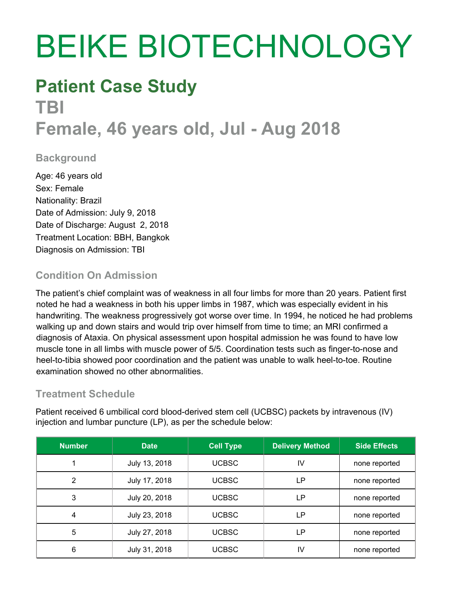# BEIKE BIOTECHNOLOGY

### **Patient Case Study**

## **TBI**

### **Female, 46 years old, Jul - Aug 2018**

#### **Background**

Age: 46 years old Sex: Female Nationality: Brazil Date of Admission: July 9, 2018 Date of Discharge: August 2, 2018 Treatment Location: BBH, Bangkok Diagnosis on Admission: TBI

#### **Condition On Admission**

The patient's chief complaint was of weakness in all four limbs for more than 20 years. Patient first noted he had a weakness in both his upper limbs in 1987, which was especially evident in his handwriting. The weakness progressively got worse over time. In 1994, he noticed he had problems walking up and down stairs and would trip over himself from time to time; an MRI confirmed a diagnosis of Ataxia. On physical assessment upon hospital admission he was found to have low muscle tone in all limbs with muscle power of 5/5. Coordination tests such as finger-to-nose and heel-to-tibia showed poor coordination and the patient was unable to walk heel-to-toe. Routine examination showed no other abnormalities.

#### **Treatment Schedule**

Patient received 6 umbilical cord blood-derived stem cell (UCBSC) packets by intravenous (IV) injection and lumbar puncture (LP), as per the schedule below:

| <b>Number</b> | <b>Date</b>   | <b>Cell Type</b> | <b>Delivery Method</b> | <b>Side Effects</b> |
|---------------|---------------|------------------|------------------------|---------------------|
|               | July 13, 2018 | <b>UCBSC</b>     | IV                     | none reported       |
| 2             | July 17, 2018 | <b>UCBSC</b>     | LР                     | none reported       |
| 3             | July 20, 2018 | <b>UCBSC</b>     | LP                     | none reported       |
| 4             | July 23, 2018 | <b>UCBSC</b>     | LР                     | none reported       |
| 5             | July 27, 2018 | <b>UCBSC</b>     | LР                     | none reported       |
| 6             | July 31, 2018 | <b>UCBSC</b>     | IV                     | none reported       |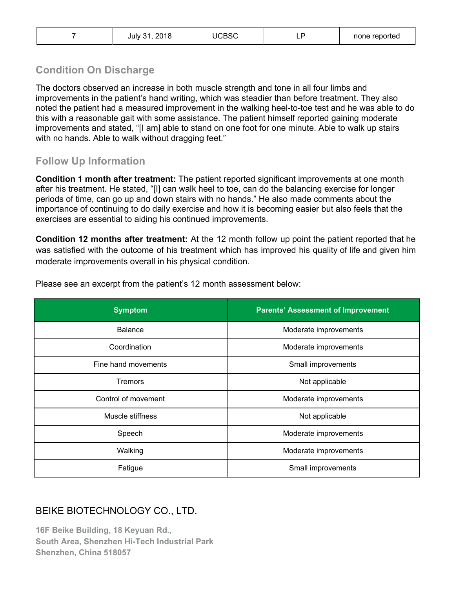|  | July 31, 2018 | <b>UCBSC</b> | -- | none reported |
|--|---------------|--------------|----|---------------|
|--|---------------|--------------|----|---------------|

#### **Condition On Discharge**

The doctors observed an increase in both muscle strength and tone in all four limbs and improvements in the patient's hand writing, which was steadier than before treatment. They also noted the patient had a measured improvement in the walking heel-to-toe test and he was able to do this with a reasonable gait with some assistance. The patient himself reported gaining moderate improvements and stated, "[I am] able to stand on one foot for one minute. Able to walk up stairs with no hands. Able to walk without dragging feet."

#### **Follow Up Information**

**Condition 1 month after treatment:** The patient reported significant improvements at one month after his treatment. He stated, "[I] can walk heel to toe, can do the balancing exercise for longer periods of time, can go up and down stairs with no hands." He also made comments about the importance of continuing to do daily exercise and how it is becoming easier but also feels that the exercises are essential to aiding his continued improvements.

**Condition 12 months after treatment:** At the 12 month follow up point the patient reported that he was satisfied with the outcome of his treatment which has improved his quality of life and given him moderate improvements overall in his physical condition.

| <b>Symptom</b>      | <b>Parents' Assessment of Improvement</b> |  |
|---------------------|-------------------------------------------|--|
| <b>Balance</b>      | Moderate improvements                     |  |
| Coordination        | Moderate improvements                     |  |
| Fine hand movements | Small improvements                        |  |
| Tremors             | Not applicable                            |  |
| Control of movement | Moderate improvements                     |  |
| Muscle stiffness    | Not applicable                            |  |
| Speech              | Moderate improvements                     |  |
| Walking             | Moderate improvements                     |  |
| Fatigue             | Small improvements                        |  |

Please see an excerpt from the patient's 12 month assessment below:

#### BEIKE BIOTECHNOLOGY CO., LTD.

**16F Beike Building, 18 Keyuan Rd., South Area, Shenzhen Hi-Tech Industrial Park Shenzhen, China 518057**